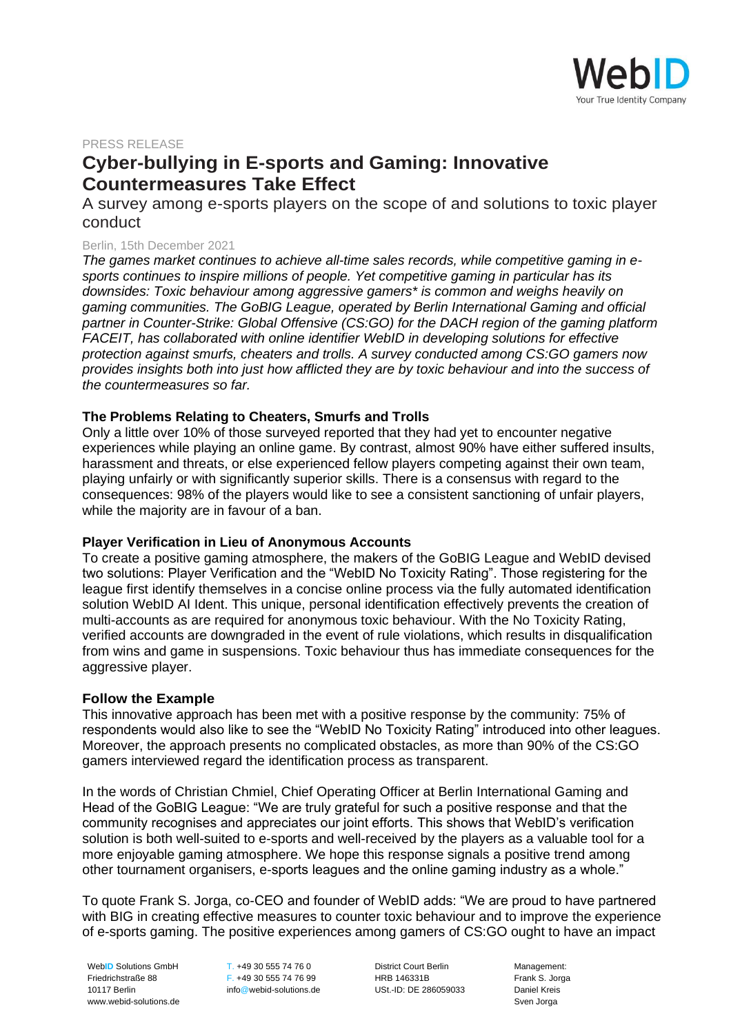

#### PRESS RELEASE

## **Cyber-bullying in E-sports and Gaming: Innovative Countermeasures Take Effect**

A survey among e-sports players on the scope of and solutions to toxic player conduct

#### Berlin, 15th December 2021

*The games market continues to achieve all-time sales records, while competitive gaming in esports continues to inspire millions of people. Yet competitive gaming in particular has its downsides: Toxic behaviour among aggressive gamers\* is common and weighs heavily on gaming communities. The GoBIG League, operated by Berlin International Gaming and official partner in Counter-Strike: Global Offensive (CS:GO) for the DACH region of the gaming platform FACEIT, has collaborated with online identifier WebID in developing solutions for effective protection against smurfs, cheaters and trolls. A survey conducted among CS:GO gamers now provides insights both into just how afflicted they are by toxic behaviour and into the success of the countermeasures so far.*

### **The Problems Relating to Cheaters, Smurfs and Trolls**

Only a little over 10% of those surveyed reported that they had yet to encounter negative experiences while playing an online game. By contrast, almost 90% have either suffered insults, harassment and threats, or else experienced fellow players competing against their own team, playing unfairly or with significantly superior skills. There is a consensus with regard to the consequences: 98% of the players would like to see a consistent sanctioning of unfair players, while the majority are in favour of a ban.

#### **Player Verification in Lieu of Anonymous Accounts**

To create a positive gaming atmosphere, the makers of the GoBIG League and WebID devised two solutions: Player Verification and the "WebID No Toxicity Rating". Those registering for the league first identify themselves in a concise online process via the fully automated identification solution WebID AI Ident. This unique, personal identification effectively prevents the creation of multi-accounts as are required for anonymous toxic behaviour. With the No Toxicity Rating, verified accounts are downgraded in the event of rule violations, which results in disqualification from wins and game in suspensions. Toxic behaviour thus has immediate consequences for the aggressive player.

#### **Follow the Example**

This innovative approach has been met with a positive response by the community: 75% of respondents would also like to see the "WebID No Toxicity Rating" introduced into other leagues. Moreover, the approach presents no complicated obstacles, as more than 90% of the CS:GO gamers interviewed regard the identification process as transparent.

In the words of Christian Chmiel, Chief Operating Officer at Berlin International Gaming and Head of the GoBIG League: "We are truly grateful for such a positive response and that the community recognises and appreciates our joint efforts. This shows that WebID's verification solution is both well-suited to e-sports and well-received by the players as a valuable tool for a more enjoyable gaming atmosphere. We hope this response signals a positive trend among other tournament organisers, e-sports leagues and the online gaming industry as a whole."

To quote Frank S. Jorga, co-CEO and founder of WebID adds: "We are proud to have partnered with BIG in creating effective measures to counter toxic behaviour and to improve the experience of e-sports gaming. The positive experiences among gamers of CS:GO ought to have an impact

Friedrichstraße 88 F. +49 30 555 74 76 99 HRB 146331B Frank S. Jorga<br>10117 Berlin Frank S. Jorga info@webid-solutions.de USt.-ID: DE 286059033 Daniel Kreis www.webid-solutions.de Sven Jorga Superversity of the Sven Jorga Sven Jorga Sven Jorga Sven Jorga Sven Jorga Sven Jorga Sven Jorga Sven Jorga Sven Jorga Sven Jorga Sven Jorga Sven Jorga Sven Jorga Sven Jorga Sven Jorga Sve

info@webid-solutions.de USt.-ID: DE 286059033 Daniel Kreis

WebID Solutions GmbH T. +49 30 555 74 76 0 District Court Berlin Management: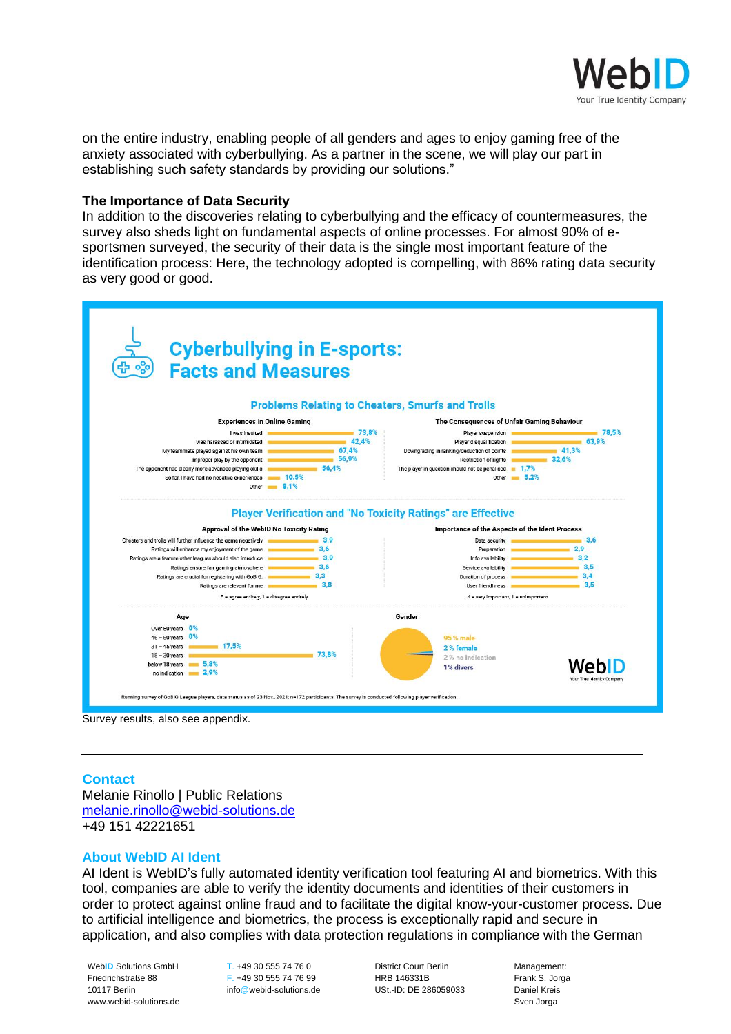

on the entire industry, enabling people of all genders and ages to enjoy gaming free of the anxiety associated with cyberbullying. As a partner in the scene, we will play our part in establishing such safety standards by providing our solutions."

#### **The Importance of Data Security**

In addition to the discoveries relating to cyberbullying and the efficacy of countermeasures, the survey also sheds light on fundamental aspects of online processes. For almost 90% of esportsmen surveyed, the security of their data is the single most important feature of the identification process: Here, the technology adopted is compelling, with 86% rating data security as very good or good.



#### **Contact**

Melanie Rinollo | Public Relations [melanie.rinollo@webid-solutions.de](mailto:melanie.rinollo@webid-solutions.de) +49 151 42221651

#### **About WebID AI Ident**

AI Ident is WebID's fully automated identity verification tool featuring AI and biometrics. With this tool, companies are able to verify the identity documents and identities of their customers in order to protect against online fraud and to facilitate the digital know-your-customer process. Due to artificial intelligence and biometrics, the process is exceptionally rapid and secure in application, and also complies with data protection regulations in compliance with the German

Friedrichstraße 88 F. +49 30 555 74 76 99 HRB 146331B Frank S. Jorga 10117 Berlin info@webid-solutions.de USt.-ID: DE 286059033 Daniel Kreis www.webid-solutions.de Sven Jorga and Sven Jorga and Sven Jorga and Sven Jorga and Sven Jorga and Sven Jorga and Sven Jorga and Sven Jorga and Sven Jorga and Sven Jorga and Sven Jorga and Sven Jorga and Sven Jorga and Sven

WebID Solutions GmbH T. +49 30 555 74 76 0 District Court Berlin Management: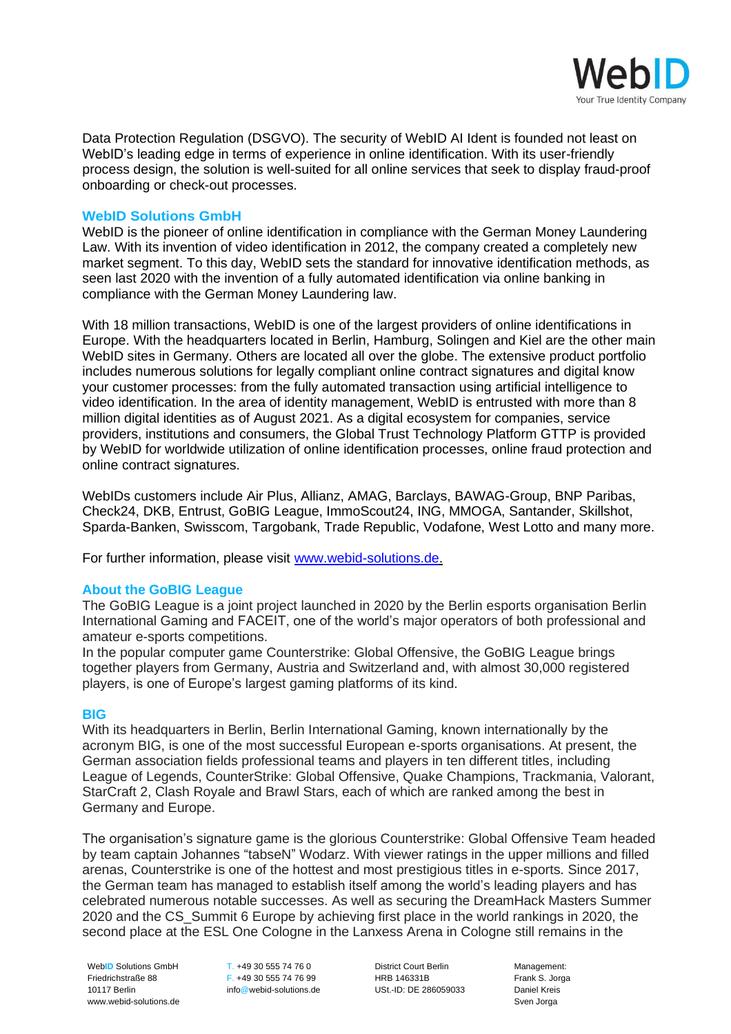

Data Protection Regulation (DSGVO). The security of WebID AI Ident is founded not least on WebID's leading edge in terms of experience in online identification. With its user-friendly process design, the solution is well-suited for all online services that seek to display fraud-proof onboarding or check-out processes.

### **WebID Solutions GmbH**

WebID is the pioneer of online identification in compliance with the German Money Laundering Law. With its invention of video identification in 2012, the company created a completely new market segment. To this day, WebID sets the standard for innovative identification methods, as seen last 2020 with the invention of a fully automated identification via online banking in compliance with the German Money Laundering law.

With 18 million transactions, WebID is one of the largest providers of online identifications in Europe. With the headquarters located in Berlin, Hamburg, Solingen and Kiel are the other main WebID sites in Germany. Others are located all over the globe. The extensive product portfolio includes numerous solutions for legally compliant online contract signatures and digital know your customer processes: from the fully automated transaction using artificial intelligence to video identification. In the area of identity management, WebID is entrusted with more than 8 million digital identities as of August 2021. As a digital ecosystem for companies, service providers, institutions and consumers, the Global Trust Technology Platform GTTP is provided by WebID for worldwide utilization of online identification processes, online fraud protection and online contract signatures.

WebIDs customers include Air Plus, Allianz, AMAG, Barclays, BAWAG-Group, BNP Paribas, Check24, DKB, Entrust, GoBIG League, ImmoScout24, ING, MMOGA, Santander, Skillshot, Sparda-Banken, Swisscom, Targobank, Trade Republic, Vodafone, West Lotto and many more.

For further information, please visit [www.webid-solutions.de.](https://www.webid-solutions.de/)

#### **About the GoBIG League**

The GoBIG League is a joint project launched in 2020 by the Berlin esports organisation Berlin International Gaming and FACEIT, one of the world's major operators of both professional and amateur e-sports competitions.

In the popular computer game Counterstrike: Global Offensive, the GoBIG League brings together players from Germany, Austria and Switzerland and, with almost 30,000 registered players, is one of Europe's largest gaming platforms of its kind.

#### **BIG**

With its headquarters in Berlin, Berlin International Gaming, known internationally by the acronym BIG, is one of the most successful European e-sports organisations. At present, the German association fields professional teams and players in ten different titles, including League of Legends, CounterStrike: Global Offensive, Quake Champions, Trackmania, Valorant, StarCraft 2, Clash Royale and Brawl Stars, each of which are ranked among the best in Germany and Europe.

The organisation's signature game is the glorious Counterstrike: Global Offensive Team headed by team captain Johannes "tabseN" Wodarz. With viewer ratings in the upper millions and filled arenas, Counterstrike is one of the hottest and most prestigious titles in e-sports. Since 2017, the German team has managed to establish itself among the world's leading players and has celebrated numerous notable successes. As well as securing the DreamHack Masters Summer 2020 and the CS\_Summit 6 Europe by achieving first place in the world rankings in 2020, the second place at the ESL One Cologne in the Lanxess Arena in Cologne still remains in the

Friedrichstraße 88 F. +49 30 555 74 76 99 HRB 146331B Frank S. Jorga<br>10117 Berlin Frank S. Jorga info@webid-solutions.de USt.-ID: DE 286059033 Daniel Kreis www.webid-solutions.de Sven Jorga Superversity of the Sven Jorga Sven Jorga Sven Jorga Sven Jorga Sven Jorga Sven Jorga Sven Jorga Sven Jorga Sven Jorga Sven Jorga Sven Jorga Sven Jorga Sven Jorga Sven Jorga Sven Jorga Sve

info@webid-solutions.de USt.-ID: DE 286059033 Daniel Kreis

Web**ID** Solutions GmbH T. +49 30 555 74 76 0 District Court Berlin Management: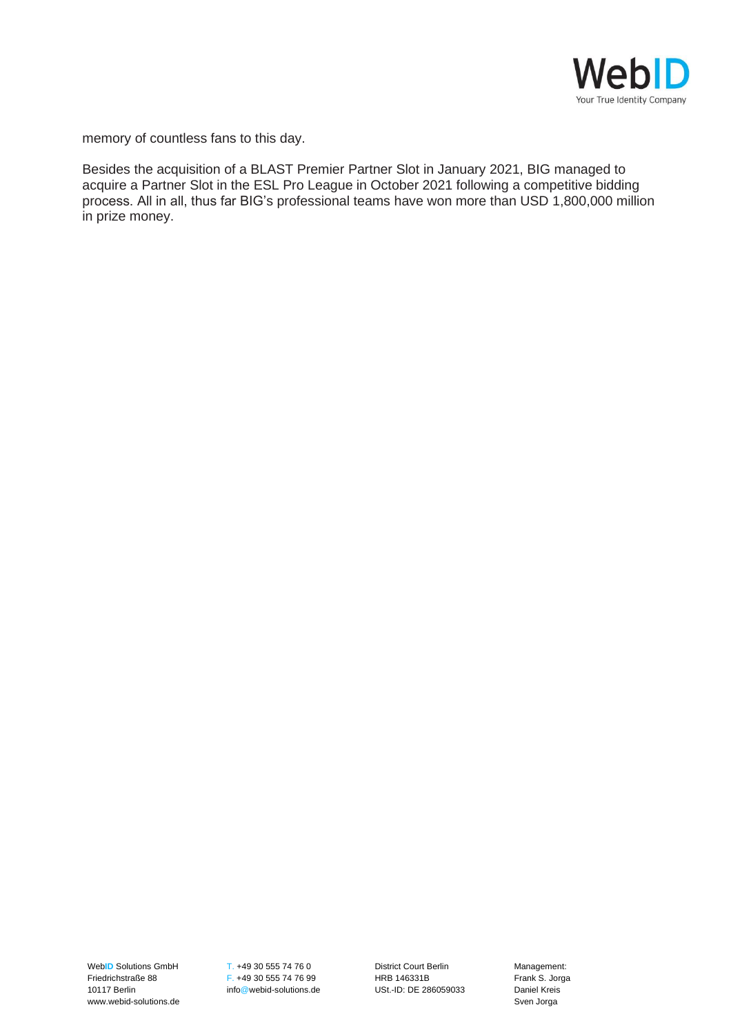

memory of countless fans to this day.

Besides the acquisition of a BLAST Premier Partner Slot in January 2021, BIG managed to acquire a Partner Slot in the ESL Pro League in October 2021 following a competitive bidding process. All in all, thus far BIG's professional teams have won more than USD 1,800,000 million in prize money.

WebID Solutions GmbH T. +49 30 555 74 76 0 District Court Berlin Management: Friedrichstraße 88 F. +49 30 555 74 76 99 HRB 146331B Frank S. Jorga<br>10117 Berlin Frank S. Jorga info@webid-solutions.de USt.-ID: DE 286059033 Daniel Kreis www.webid-solutions.de

info@webid-solutions.de USt.-ID: DE 286059033 Daniel Kreis<br>Sven Jorga